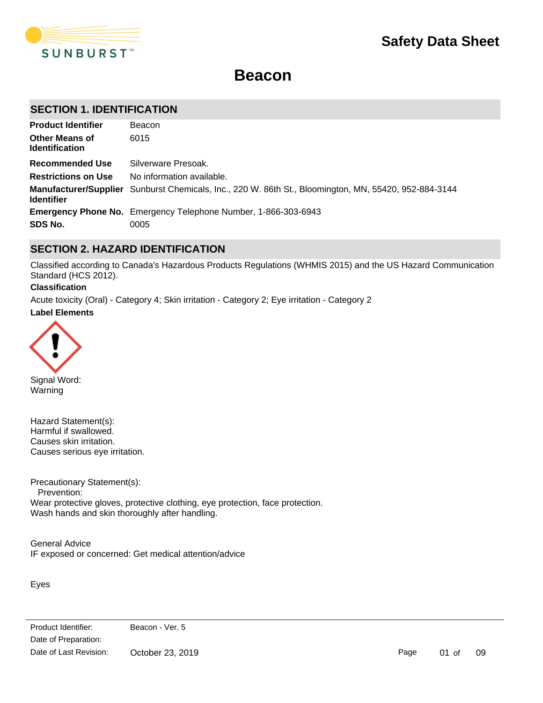

# **Beacon**

### **SECTION 1. IDENTIFICATION**

| <b>Product Identifier</b>                      | Beacon                                                                                                |
|------------------------------------------------|-------------------------------------------------------------------------------------------------------|
| <b>Other Means of</b><br><b>Identification</b> | 6015                                                                                                  |
| Recommended Use                                | Silverware Presoak.                                                                                   |
| <b>Restrictions on Use</b>                     | No information available.                                                                             |
| <b>Identifier</b>                              | Manufacturer/Supplier Sunburst Chemicals, Inc., 220 W. 86th St., Bloomington, MN, 55420, 952-884-3144 |
|                                                | <b>Emergency Phone No.</b> Emergency Telephone Number, 1-866-303-6943                                 |
| SDS No.                                        | 0005                                                                                                  |

### **SECTION 2. HAZARD IDENTIFICATION**

Classified according to Canada's Hazardous Products Regulations (WHMIS 2015) and the US Hazard Communication Standard (HCS 2012).

### **Classification**

**Label Elements** Acute toxicity (Oral) - Category 4; Skin irritation - Category 2; Eye irritation - Category 2



Signal Word: Warning

Hazard Statement(s): Harmful if swallowed. Causes skin irritation. Causes serious eye irritation.

Precautionary Statement(s): Prevention: Wear protective gloves, protective clothing, eye protection, face protection. Wash hands and skin thoroughly after handling.

General Advice IF exposed or concerned: Get medical attention/advice

Eyes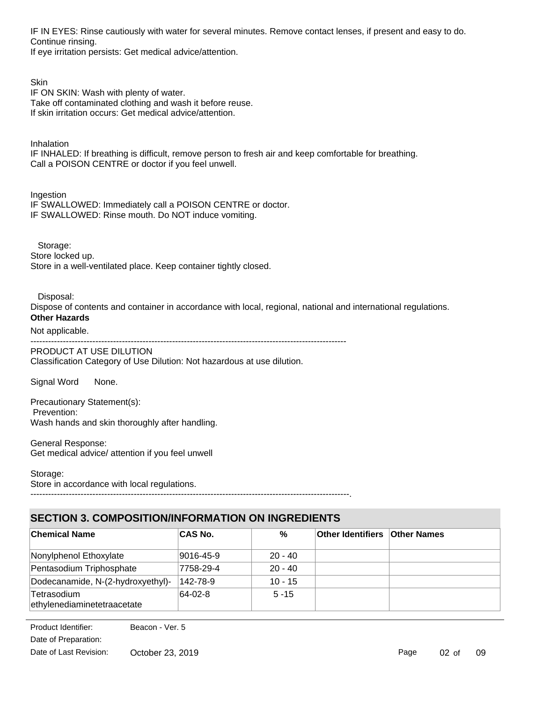IF IN EYES: Rinse cautiously with water for several minutes. Remove contact lenses, if present and easy to do. Continue rinsing.

If eye irritation persists: Get medical advice/attention.

**Skin** IF ON SKIN: Wash with plenty of water. Take off contaminated clothing and wash it before reuse. If skin irritation occurs: Get medical advice/attention.

Inhalation

IF INHALED: If breathing is difficult, remove person to fresh air and keep comfortable for breathing. Call a POISON CENTRE or doctor if you feel unwell.

Ingestion IF SWALLOWED: Immediately call a POISON CENTRE or doctor. IF SWALLOWED: Rinse mouth. Do NOT induce vomiting.

 Storage: Store locked up. Store in a well-ventilated place. Keep container tightly closed.

Disposal:

Dispose of contents and container in accordance with local, regional, national and international regulations. **Other Hazards**

Not applicable. -----------------------------------------------------------------------------------------------------------

PRODUCT AT USE DILUTION

Classification Category of Use Dilution: Not hazardous at use dilution.

Signal Word None.

Precautionary Statement(s): Prevention: Wash hands and skin thoroughly after handling.

General Response: Get medical advice/ attention if you feel unwell

Storage:

Store in accordance with local regulations.

------------------------------------------------------------------------------------------------------------.

# **SECTION 3. COMPOSITION/INFORMATION ON INGREDIENTS**

| <b>Chemical Name</b>                       | <b>CAS No.</b> | %         | <b>Other Identifiers Other Names</b> |  |
|--------------------------------------------|----------------|-----------|--------------------------------------|--|
| Nonylphenol Ethoxylate                     | 9016-45-9      | $20 - 40$ |                                      |  |
| Pentasodium Triphosphate                   | 7758-29-4      | $20 - 40$ |                                      |  |
| Dodecanamide, N-(2-hydroxyethyl)-          | 142-78-9       | $10 - 15$ |                                      |  |
| Tetrasodium<br>ethylenediaminetetraacetate | 64-02-8        | $5 - 15$  |                                      |  |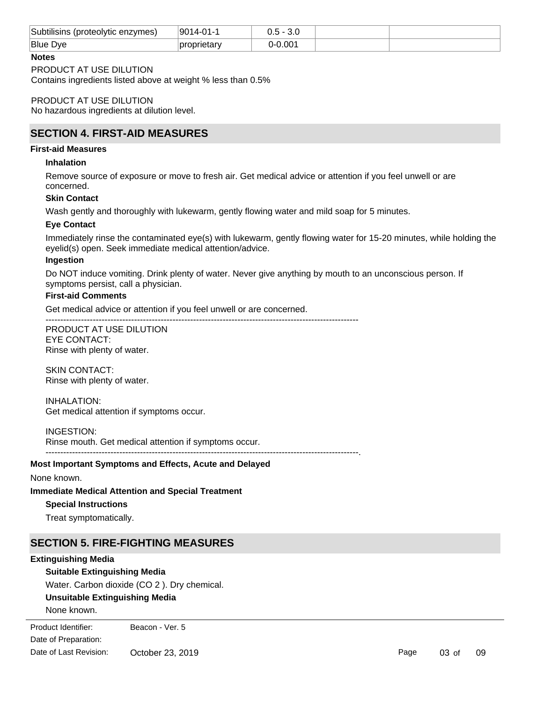| Subtilisins<br>(proteolytic enzymes) ; | $\mathsf{A}$<br>.9C<br>`14-. |      |  |
|----------------------------------------|------------------------------|------|--|
| Blue<br><b>Dve</b>                     |                              | 0.00 |  |

### **Notes**

#### PRODUCT AT USE DILUTION

Contains ingredients listed above at weight % less than 0.5%

PRODUCT AT USE DILUTION No hazardous ingredients at dilution level.

### **SECTION 4. FIRST-AID MEASURES**

#### **First-aid Measures**

#### **Inhalation**

Remove source of exposure or move to fresh air. Get medical advice or attention if you feel unwell or are concerned.

### **Skin Contact**

Wash gently and thoroughly with lukewarm, gently flowing water and mild soap for 5 minutes.

### **Eye Contact**

Immediately rinse the contaminated eye(s) with lukewarm, gently flowing water for 15-20 minutes, while holding the eyelid(s) open. Seek immediate medical attention/advice.

#### **Ingestion**

Do NOT induce vomiting. Drink plenty of water. Never give anything by mouth to an unconscious person. If symptoms persist, call a physician.

### **First-aid Comments**

Get medical advice or attention if you feel unwell or are concerned.

----------------------------------------------------------------------------------------------------------

PRODUCT AT USE DILUTION EYE CONTACT: Rinse with plenty of water.

SKIN CONTACT: Rinse with plenty of water.

INHALATION: Get medical attention if symptoms occur.

#### INGESTION:

Rinse mouth. Get medical attention if symptoms occur. ----------------------------------------------------------------------------------------------------------.

#### **Most Important Symptoms and Effects, Acute and Delayed**

#### None known.

#### **Immediate Medical Attention and Special Treatment**

#### **Special Instructions**

Treat symptomatically.

### **SECTION 5. FIRE-FIGHTING MEASURES**

#### **Extinguishing Media**

### **Suitable Extinguishing Media**

Water. Carbon dioxide (CO 2 ). Dry chemical.

### **Unsuitable Extinguishing Media**

None known.

**Product Identifier:** Beacon - Ver. 5 Date of Preparation: Date of Last Revision: October 23, 2019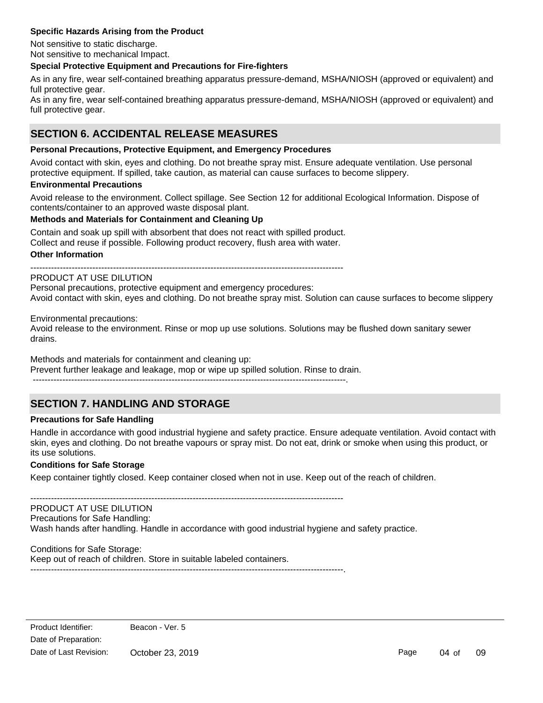### **Specific Hazards Arising from the Product**

Not sensitive to static discharge. Not sensitive to mechanical Impact.

### **Special Protective Equipment and Precautions for Fire-fighters**

As in any fire, wear self-contained breathing apparatus pressure-demand, MSHA/NIOSH (approved or equivalent) and full protective gear.

As in any fire, wear self-contained breathing apparatus pressure-demand, MSHA/NIOSH (approved or equivalent) and full protective gear.

# **SECTION 6. ACCIDENTAL RELEASE MEASURES**

### **Personal Precautions, Protective Equipment, and Emergency Procedures**

Avoid contact with skin, eyes and clothing. Do not breathe spray mist. Ensure adequate ventilation. Use personal protective equipment. If spilled, take caution, as material can cause surfaces to become slippery.

### **Environmental Precautions**

Avoid release to the environment. Collect spillage. See Section 12 for additional Ecological Information. Dispose of contents/container to an approved waste disposal plant.

### **Methods and Materials for Containment and Cleaning Up**

Contain and soak up spill with absorbent that does not react with spilled product. Collect and reuse if possible. Following product recovery, flush area with water.

**Other Information**

----------------------------------------------------------------------------------------------------------

### PRODUCT AT USE DILUTION

Personal precautions, protective equipment and emergency procedures: Avoid contact with skin, eyes and clothing. Do not breathe spray mist. Solution can cause surfaces to become slippery

Environmental precautions:

Avoid release to the environment. Rinse or mop up use solutions. Solutions may be flushed down sanitary sewer drains.

Methods and materials for containment and cleaning up: Prevent further leakage and leakage, mop or wipe up spilled solution. Rinse to drain. ----------------------------------------------------------------------------------------------------------.

### **SECTION 7. HANDLING AND STORAGE**

#### **Precautions for Safe Handling**

Handle in accordance with good industrial hygiene and safety practice. Ensure adequate ventilation. Avoid contact with skin, eyes and clothing. Do not breathe vapours or spray mist. Do not eat, drink or smoke when using this product, or its use solutions.

#### **Conditions for Safe Storage**

Keep container tightly closed. Keep container closed when not in use. Keep out of the reach of children.

----------------------------------------------------------------------------------------------------------

### PRODUCT AT USE DILUTION

Precautions for Safe Handling: Wash hands after handling. Handle in accordance with good industrial hygiene and safety practice.

Conditions for Safe Storage: Keep out of reach of children. Store in suitable labeled containers. ----------------------------------------------------------------------------------------------------------.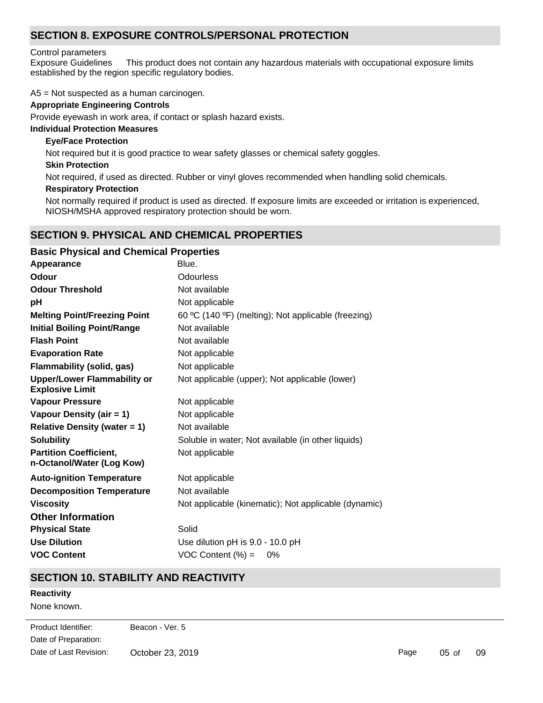# **SECTION 8. EXPOSURE CONTROLS/PERSONAL PROTECTION**

### Control parameters

Exposure Guidelines This product does not contain any hazardous materials with occupational exposure limits established by the region specific regulatory bodies.

A5 = Not suspected as a human carcinogen.

### **Appropriate Engineering Controls**

Provide eyewash in work area, if contact or splash hazard exists.

### **Individual Protection Measures**

### **Eye/Face Protection**

Not required but it is good practice to wear safety glasses or chemical safety goggles.

### **Skin Protection**

Not required, if used as directed. Rubber or vinyl gloves recommended when handling solid chemicals.

### **Respiratory Protection**

Not normally required if product is used as directed. If exposure limits are exceeded or irritation is experienced, NIOSH/MSHA approved respiratory protection should be worn.

### **SECTION 9. PHYSICAL AND CHEMICAL PROPERTIES**

| <b>Basic Physical and Chemical Properties</b>                |                                                      |
|--------------------------------------------------------------|------------------------------------------------------|
| Appearance                                                   | Blue.                                                |
| <b>Odour</b>                                                 | Odourless                                            |
| <b>Odour Threshold</b>                                       | Not available                                        |
| рH                                                           | Not applicable                                       |
| <b>Melting Point/Freezing Point</b>                          | 60 °C (140 °F) (melting); Not applicable (freezing)  |
| <b>Initial Boiling Point/Range</b>                           | Not available                                        |
| <b>Flash Point</b>                                           | Not available                                        |
| <b>Evaporation Rate</b>                                      | Not applicable                                       |
| <b>Flammability (solid, gas)</b>                             | Not applicable                                       |
| <b>Upper/Lower Flammability or</b><br><b>Explosive Limit</b> | Not applicable (upper); Not applicable (lower)       |
| <b>Vapour Pressure</b>                                       | Not applicable                                       |
| Vapour Density (air = 1)                                     | Not applicable                                       |
| <b>Relative Density (water = 1)</b>                          | Not available                                        |
| <b>Solubility</b>                                            | Soluble in water; Not available (in other liquids)   |
| <b>Partition Coefficient,</b><br>n-Octanol/Water (Log Kow)   | Not applicable                                       |
| <b>Auto-ignition Temperature</b>                             | Not applicable                                       |
| <b>Decomposition Temperature</b>                             | Not available                                        |
| <b>Viscosity</b>                                             | Not applicable (kinematic); Not applicable (dynamic) |
| <b>Other Information</b>                                     |                                                      |
| <b>Physical State</b>                                        | Solid                                                |
| <b>Use Dilution</b>                                          | Use dilution pH is 9.0 - 10.0 pH                     |
| <b>VOC Content</b>                                           | $VOC$ Content $(\%) =$<br>0%                         |

### **SECTION 10. STABILITY AND REACTIVITY**

### **Reactivity**

None known.

<u>Chemical Stability and Stability and Stability and Stability and Stability and Stability and Stability</u> Date of Preparation: Product Identifier: Beacon - Ver. 5 Date of Last Revision: October 23, 2019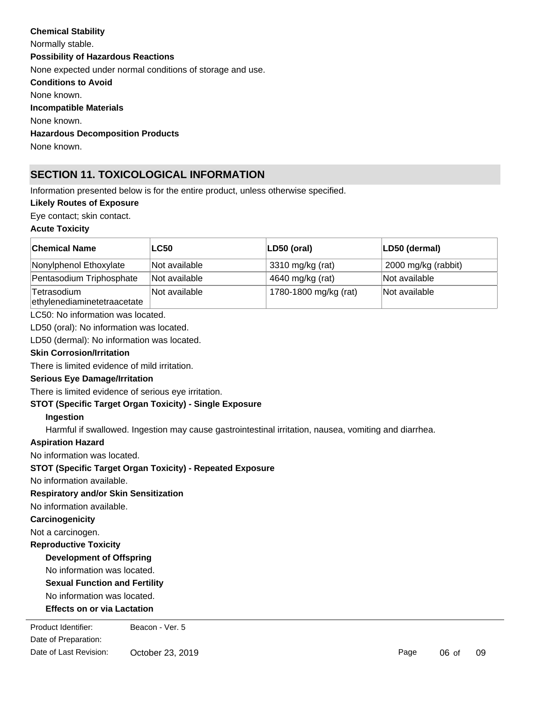# **Chemical Stability** Normally stable. **Conditions to Avoid** None known. **Incompatible Materials** None known. **Hazardous Decomposition Products Possibility of Hazardous Reactions** None expected under normal conditions of storage and use.

None known.

# **SECTION 11. TOXICOLOGICAL INFORMATION**

Information presented below is for the entire product, unless otherwise specified.

### **Likely Routes of Exposure**

Eye contact; skin contact.

### **Acute Toxicity**

| ∣Chemical Name                             | <b>LC50</b>   | LD50 (oral)           | LD50 (dermal)       |
|--------------------------------------------|---------------|-----------------------|---------------------|
| Nonylphenol Ethoxylate                     | Not available | 3310 mg/kg (rat)      | 2000 mg/kg (rabbit) |
| Pentasodium Triphosphate                   | Not available | 4640 mg/kg (rat)      | Not available       |
| Tetrasodium<br>ethylenediaminetetraacetate | Not available | 1780-1800 mg/kg (rat) | Not available       |

LC50: No information was located.

LD50 (oral): No information was located.

LD50 (dermal): No information was located.

### **Skin Corrosion/Irritation**

There is limited evidence of mild irritation.

### **Serious Eye Damage/Irritation**

There is limited evidence of serious eye irritation.

### **STOT (Specific Target Organ Toxicity) - Single Exposure**

#### **Ingestion**

Harmful if swallowed. Ingestion may cause gastrointestinal irritation, nausea, vomiting and diarrhea.

#### **Aspiration Hazard**

No information was located.

### **STOT (Specific Target Organ Toxicity) - Repeated Exposure**

No information available.

### **Respiratory and/or Skin Sensitization**

No information available.

### **Carcinogenicity**

Not a carcinogen.

### **Reproductive Toxicity**

### **Development of Offspring**

# No information was located.

**Sexual Function and Fertility**

No information was located.

### **Effects on or via Lactation**

enduct Identifier: Beacon - Ver. 5 Date of Preparation: Date of Last Revision: October 23, 2019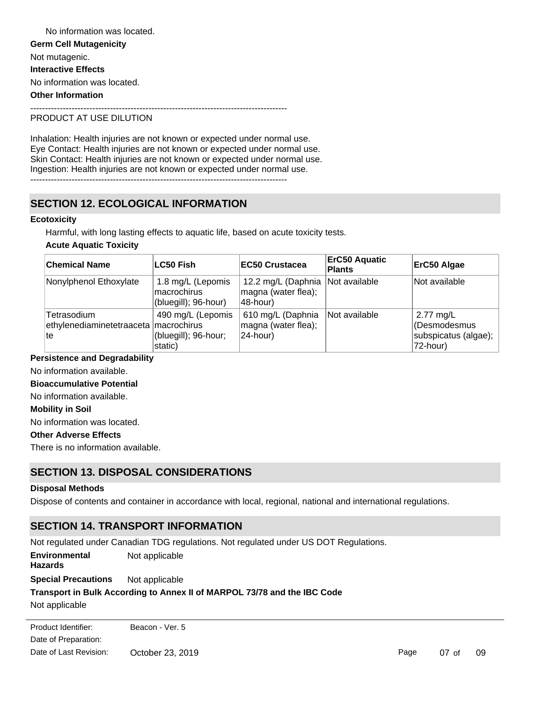**Germ Cell Mutagenicity** Not mutagenic. **Interactive Effects** No information was located. **Other Information** --------------------------------------------------------------------------------------- No information was located.

### PRODUCT AT USE DILUTION

Inhalation: Health injuries are not known or expected under normal use. Eye Contact: Health injuries are not known or expected under normal use. Skin Contact: Health injuries are not known or expected under normal use. Ingestion: Health injuries are not known or expected under normal use.

---------------------------------------------------------------------------------------

# **SECTION 12. ECOLOGICAL INFORMATION**

### **Ecotoxicity**

Harmful, with long lasting effects to aquatic life, based on acute toxicity tests.

#### **Acute Aquatic Toxicity**

| <b>Chemical Name</b>                                         | LC50 Fish                                                | <b>EC50 Crustacea</b>                                 | <b>ErC50 Aquatic</b><br><b>Plants</b> | ErC50 Algae                                                   |
|--------------------------------------------------------------|----------------------------------------------------------|-------------------------------------------------------|---------------------------------------|---------------------------------------------------------------|
| Nonylphenol Ethoxylate                                       | 1.8 mg/L (Lepomis<br>macrochirus<br>(bluegill); 96-hour) | 12.2 mg/L (Daphnia<br>magna (water flea);<br>48-hour) | Not available                         | Not available                                                 |
| Tetrasodium<br>ethylenediaminetetraaceta   macrochirus<br>te | 490 mg/L (Lepomis<br>(bluegill); 96-hour;<br>static)     | 610 mg/L (Daphnia<br>magna (water flea);<br>24-hour)  | Not available                         | 2.77 mg/L<br>Oesmodesmus)<br>subspicatus (algae);<br>72-hour) |

### **Persistence and Degradability**

No information available.

### **Bioaccumulative Potential**

No information available.

#### **Mobility in Soil**

No information was located.

### **Other Adverse Effects**

There is no information available.

# **SECTION 13. DISPOSAL CONSIDERATIONS**

#### **Disposal Methods**

Dispose of contents and container in accordance with local, regional, national and international regulations.

# **SECTION 14. TRANSPORT INFORMATION**

Not regulated under Canadian TDG regulations. Not regulated under US DOT Regulations.

**Environmental Hazards** Not applicable

### **Special Precautions** Not applicable

### **Transport in Bulk According to Annex II of MARPOL 73/78 and the IBC Code**

Not applicable

Date of Preparation: Product Identifier: Beacon - Ver. 5 Date of Last Revision: October 23, 2019

Page 07 of 09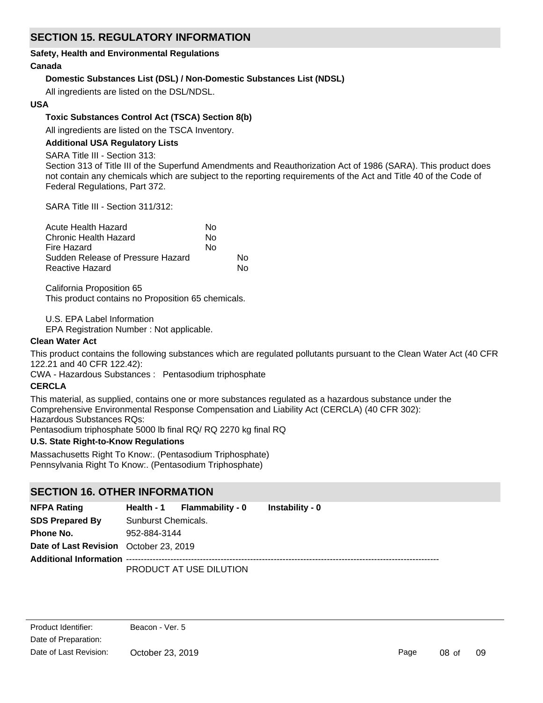# **SECTION 15. REGULATORY INFORMATION**

### **Safety, Health and Environmental Regulations**

### **Canada**

### **Domestic Substances List (DSL) / Non-Domestic Substances List (NDSL)**

All ingredients are listed on the DSL/NDSL.

### **USA**

### **Toxic Substances Control Act (TSCA) Section 8(b)**

All ingredients are listed on the TSCA Inventory.

### **Additional USA Regulatory Lists**

SARA Title III - Section 313:

Section 313 of Title III of the Superfund Amendments and Reauthorization Act of 1986 (SARA). This product does not contain any chemicals which are subject to the reporting requirements of the Act and Title 40 of the Code of Federal Regulations, Part 372.

SARA Title III - Section 311/312:

| Acute Health Hazard               | N٥ |    |
|-----------------------------------|----|----|
| Chronic Health Hazard             | No |    |
| Fire Hazard                       | N٥ |    |
| Sudden Release of Pressure Hazard |    | N٥ |
| <b>Reactive Hazard</b>            |    | N٥ |

California Proposition 65 This product contains no Proposition 65 chemicals.

U.S. EPA Label Information

EPA Registration Number : Not applicable.

### **Clean Water Act**

This product contains the following substances which are regulated pollutants pursuant to the Clean Water Act (40 CFR 122.21 and 40 CFR 122.42):

CWA - Hazardous Substances : Pentasodium triphosphate

### **CERCLA**

This material, as supplied, contains one or more substances regulated as a hazardous substance under the Comprehensive Environmental Response Compensation and Liability Act (CERCLA) (40 CFR 302): Hazardous Substances RQs:

Pentasodium triphosphate 5000 lb final RQ/ RQ 2270 kg final RQ

### **U.S. State Right-to-Know Regulations**

Massachusetts Right To Know:. (Pentasodium Triphosphate) Pennsylvania Right To Know:. (Pentasodium Triphosphate)

### **SECTION 16. OTHER INFORMATION**

| <b>NFPA Rating</b>                     |                     | Health - 1 Flammability - 0 | Instability - 0 |  |
|----------------------------------------|---------------------|-----------------------------|-----------------|--|
| <b>SDS Prepared By</b>                 | Sunburst Chemicals. |                             |                 |  |
| Phone No.                              | 952-884-3144        |                             |                 |  |
| Date of Last Revision October 23, 2019 |                     |                             |                 |  |
|                                        |                     |                             |                 |  |
|                                        |                     | PRODUCT AT USE DILUTION     |                 |  |